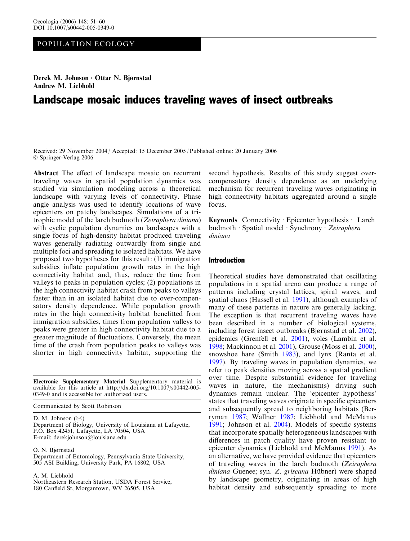# POPULATION ECOLOGY

Derek M. Johnson · Ottar N. Bjørnstad Andrew M. Liebhold

# Landscape mosaic induces traveling waves of insect outbreaks

Received: 29 November 2004 / Accepted: 15 December 2005 / Published online: 20 January 2006 Springer-Verlag 2006

Abstract The effect of landscape mosaic on recurrent traveling waves in spatial population dynamics was studied via simulation modeling across a theoretical landscape with varying levels of connectivity. Phase angle analysis was used to identify locations of wave epicenters on patchy landscapes. Simulations of a tritrophic model of the larch budmoth (Zeiraphera diniana) with cyclic population dynamics on landscapes with a single focus of high-density habitat produced traveling waves generally radiating outwardly from single and multiple foci and spreading to isolated habitats. We have proposed two hypotheses for this result: (1) immigration subsidies inflate population growth rates in the high connectivity habitat and, thus, reduce the time from valleys to peaks in population cycles; (2) populations in the high connectivity habitat crash from peaks to valleys faster than in an isolated habitat due to over-compensatory density dependence. While population growth rates in the high connectivity habitat benefitted from immigration subsidies, times from population valleys to peaks were greater in high connectivity habitat due to a greater magnitude of fluctuations. Conversely, the mean time of the crash from population peaks to valleys was shorter in high connectivity habitat, supporting the

Electronic Supplementary Material Supplementary material is available for this article at http://dx.doi.org/10.1007/s00442-005- 0349-0 and is accessible for authorized users.

Communicated by Scott Robinson

D. M. Johnson  $(\boxtimes)$ 

Department of Biology, University of Louisiana at Lafayette, P.O. Box 42451, Lafayette, LA 70504, USA E-mail: derekjohnson@louisiana.edu

O. N. Bjørnstad

Department of Entomology, Pennsylvania State University, 505 ASI Building, University Park, PA 16802, USA

A. M. Liebhold

Northeastern Research Station, USDA Forest Service, 180 Canfield St, Morgantown, WV 26505, USA

second hypothesis. Results of this study suggest overcompensatory density dependence as an underlying mechanism for recurrent traveling waves originating in high connectivity habitats aggregated around a single focus.

Keywords Connectivity Epicenter hypothesis  $\cdot$  Larch budmoth · Spatial model · Synchrony · Zeiraphera diniana

### Introduction

Theoretical studies have demonstrated that oscillating populations in a spatial arena can produce a range of patterns including crystal lattices, spiral waves, and spatial chaos (Hassell et al. [1991\)](#page-8-0), although examples of many of these patterns in nature are generally lacking. The exception is that recurrent traveling waves have been described in a number of biological systems, including forest insect outbreaks (Bjørnstad et al. [2002\)](#page-8-0), epidemics (Grenfell et al. [2001](#page-8-0)), voles (Lambin et al. [1998;](#page-8-0) Mackinnon et al. [2001](#page-8-0)), Grouse (Moss et al. [2000\)](#page-8-0), snowshoe hare (Smith [1983](#page-9-0)), and lynx (Ranta et al. [1997\)](#page-8-0). By traveling waves in population dynamics, we refer to peak densities moving across a spatial gradient over time. Despite substantial evidence for traveling waves in nature, the mechanism(s) driving such dynamics remain unclear. The 'epicenter hypothesis' states that traveling waves originate in specific epicenters and subsequently spread to neighboring habitats (Berryman [1987](#page-8-0); Wallner [1987;](#page-9-0) Liebhold and McManus [1991;](#page-8-0) Johnson et al. [2004](#page-8-0)). Models of specific systems that incorporate spatially heterogeneous landscapes with differences in patch quality have proven resistant to epicenter dynamics (Liebhold and McManus [1991](#page-8-0)). As an alternative, we have provided evidence that epicenters of traveling waves in the larch budmoth (Zeiraphera diniana Guenee; syn. Z. griseana Hübner) were shaped by landscape geometry, originating in areas of high habitat density and subsequently spreading to more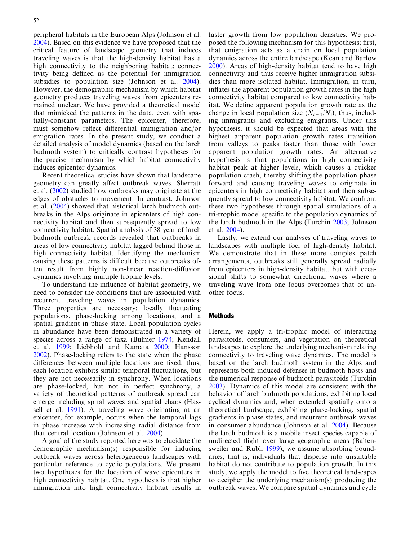peripheral habitats in the European Alps (Johnson et al. [2004](#page-8-0)). Based on this evidence we have proposed that the critical feature of landscape geometry that induces traveling waves is that the high-density habitat has a high connectivity to the neighboring habitat; connectivity being defined as the potential for immigration subsidies to population size (Johnson et al. [2004\)](#page-8-0). However, the demographic mechanism by which habitat geometry produces traveling waves from epicenters remained unclear. We have provided a theoretical model that mimicked the patterns in the data, even with spatially-constant parameters. The epicenter, therefore, must somehow reflect differential immigration and/or emigration rates. In the present study, we conduct a detailed analysis of model dynamics (based on the larch budmoth system) to critically contrast hypotheses for the precise mechanism by which habitat connectivity induces epicenter dynamics.

Recent theoretical studies have shown that landscape geometry can greatly affect outbreak waves. Sherratt et al. ([2002](#page-9-0)) studied how outbreaks may originate at the edges of obstacles to movement. In contrast, Johnson et al. [\(2004](#page-8-0)) showed that historical larch budmoth outbreaks in the Alps originate in epicenters of high connectivity habitat and then subsequently spread to low connectivity habitat. Spatial analysis of 38 year of larch budmoth outbreak records revealed that outbreaks in areas of low connectivity habitat lagged behind those in high connectivity habitat. Identifying the mechanism causing these patterns is difficult because outbreaks often result from highly non-linear reaction-diffusion dynamics involving multiple trophic levels.

To understand the influence of habitat geometry, we need to consider the conditions that are associated with recurrent traveling waves in population dynamics. Three properties are necessary: locally fluctuating populations, phase-locking among locations, and a spatial gradient in phase state. Local population cycles in abundance have been demonstrated in a variety of species across a range of taxa (Bulmer [1974;](#page-8-0) Kendall et al. [1999](#page-8-0); Liebhold and Kamata [2000;](#page-8-0) Hansson [2002](#page-8-0)). Phase-locking refers to the state when the phase differences between multiple locations are fixed; thus, each location exhibits similar temporal fluctuations, but they are not necessarily in synchrony. When locations are phase-locked, but not in perfect synchrony, a variety of theoretical patterns of outbreak spread can emerge including spiral waves and spatial chaos (Hassell et al. [1991\)](#page-8-0). A traveling wave originating at an epicenter, for example, occurs when the temporal lags in phase increase with increasing radial distance from that central location (Johnson et al. [2004](#page-8-0)).

A goal of the study reported here was to elucidate the demographic mechanism(s) responsible for inducing outbreak waves across heterogeneous landscapes with particular reference to cyclic populations. We present two hypotheses for the location of wave epicenters in high connectivity habitat. One hypothesis is that higher immigration into high connectivity habitat results in

faster growth from low population densities. We proposed the following mechanism for this hypothesis; first, that emigration acts as a drain on local population dynamics across the entire landscape (Kean and Barlow [2000\)](#page-8-0). Areas of high-density habitat tend to have high connectivity and thus receive higher immigration subsidies than more isolated habitat. Immigration, in turn, inflates the apparent population growth rates in the high connectivity habitat compared to low connectivity habitat. We define apparent population growth rate as the change in local population size  $(N_{t+1}/N_t)$ , thus, including immigrants and excluding emigrants. Under this hypothesis, it should be expected that areas with the highest apparent population growth rates transition from valleys to peaks faster than those with lower apparent population growth rates. An alternative hypothesis is that populations in high connectivity habitat peak at higher levels, which causes a quicker population crash, thereby shifting the population phase forward and causing traveling waves to originate in epicenters in high connectivity habitat and then subsequently spread to low connectivity habitat. We confront these two hypotheses through spatial simulations of a tri-trophic model specific to the population dynamics of the larch budmoth in the Alps (Turchin [2003](#page-9-0); Johnson et al. [2004\)](#page-8-0).

Lastly, we extend our analyses of traveling waves to landscapes with multiple foci of high-density habitat. We demonstrate that in these more complex patch arrangements, outbreaks still generally spread radially from epicenters in high-density habitat, but with occasional shifts to somewhat directional waves where a traveling wave from one focus overcomes that of another focus.

## Methods

Herein, we apply a tri-trophic model of interacting parasitoids, consumers, and vegetation on theoretical landscapes to explore the underlying mechanism relating connectivity to traveling wave dynamics. The model is based on the larch budmoth system in the Alps and represents both induced defenses in budmoth hosts and the numerical response of budmoth parasitoids (Turchin [2003\)](#page-9-0). Dynamics of this model are consistent with the behavior of larch budmoth populations, exhibiting local cyclical dynamics and, when extended spatially onto a theoretical landscape, exhibiting phase-locking, spatial gradients in phase states, and recurrent outbreak waves in consumer abundance (Johnson et al. [2004](#page-8-0)). Because the larch budmoth is a mobile insect species capable of undirected flight over large geographic areas (Baltensweiler and Rubli [1999\)](#page-8-0), we assume absorbing boundaries; that is, individuals that disperse into unsuitable habitat do not contribute to population growth. In this study, we apply the model to five theoretical landscapes to decipher the underlying mechanism(s) producing the outbreak waves. We compare spatial dynamics and cycle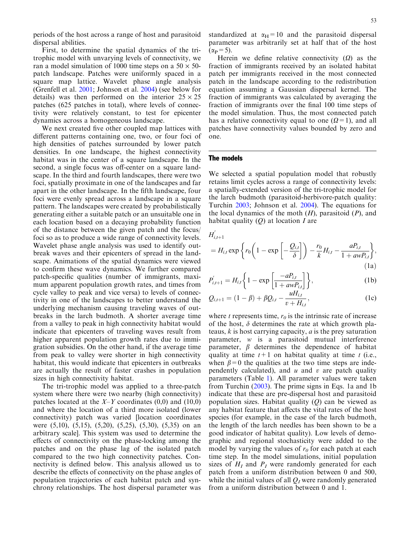periods of the host across a range of host and parasitoid dispersal abilities.

First, to determine the spatial dynamics of the tritrophic model with unvarying levels of connectivity, we ran a model simulation of 1000 time steps on a  $50 \times 50$ patch landscape. Patches were uniformly spaced in a square map lattice. Wavelet phase angle analysis (Grenfell et al. [2001;](#page-8-0) Johnson et al. [2004\)](#page-8-0) (see below for details) was then performed on the interior  $25 \times 25$ patches (625 patches in total), where levels of connectivity were relatively constant, to test for epicenter dynamics across a homogeneous landscape.

We next created five other coupled map lattices with different patterns containing one, two, or four foci of high densities of patches surrounded by lower patch densities. In one landscape, the highest connectivity habitat was in the center of a square landscape. In the second, a single focus was off-center on a square landscape. In the third and fourth landscapes, there were two foci, spatially proximate in one of the landscapes and far apart in the other landscape. In the fifth landscape, four foci were evenly spread across a landscape in a square pattern. The landscapes were created by probabilistically generating either a suitable patch or an unsuitable one in each location based on a decaying probability function of the distance between the given patch and the focus/ foci so as to produce a wide range of connectivity levels. Wavelet phase angle analysis was used to identify outbreak waves and their epicenters of spread in the landscape. Animations of the spatial dynamics were viewed to confirm these wave dynamics. We further compared patch-specific qualities (number of immigrants, maximum apparent population growth rates, and times from cycle valley to peak and vice versa) to levels of connectivity in one of the landscapes to better understand the underlying mechanism causing traveling waves of outbreaks in the larch budmoth. A shorter average time from a valley to peak in high connectivity habitat would indicate that epicenters of traveling waves result from higher apparent population growth rates due to immigration subsidies. On the other hand, if the average time from peak to valley were shorter in high connectivity habitat, this would indicate that epicenters in outbreaks are actually the result of faster crashes in population sizes in high connectivity habitat.

The tri-trophic model was applied to a three-patch system where there were two nearby (high connectivity) patches located at the  $X-Y$  coordinates (0,0) and (10,0) and where the location of a third more isolated (lower connectivity) patch was varied [location coordinates were (5,10), (5,15), (5,20), (5,25), (5,30), (5,35) on an arbitrary scale]. This system was used to determine the effects of connectivity on the phase-locking among the patches and on the phase lag of the isolated patch compared to the two high connectivity patches. Connectivity is defined below. This analysis allowed us to describe the effects of connectivity on the phase angles of population trajectories of each habitat patch and synchrony relationships. The host dispersal parameter was

standardized at  $\alpha_H=10$  and the parasitoid dispersal parameter was arbitrarily set at half that of the host  $(\alpha_{\rm P}=5)$ .

Herein we define relative connectivity  $(\Omega)$  as the fraction of immigrants received by an isolated habitat patch per immigrants received in the most connected patch in the landscape according to the redistribution equation assuming a Gaussian dispersal kernel. The fraction of immigrants was calculated by averaging the fraction of immigrants over the final 100 time steps of the model simulation. Thus, the most connected patch has a relative connectivity equal to one  $(Q=1)$ , and all patches have connectivity values bounded by zero and one.

# The models

We selected a spatial population model that robustly retains limit cycles across a range of connectivity levels: a spatially-extended version of the tri-trophic model for the larch budmoth (parasitoid-herbivore-patch quality: Turchin [2003](#page-9-0); Johnson et al. [2004\)](#page-8-0). The equations for the local dynamics of the moth  $(H)$ , parasitoid  $(P)$ , and habitat quality  $(Q)$  at location I are

 $H^{'}_{i,t+1}$ 

$$
=H_{i,t}\exp\left\{r_0\left(1-\exp\left[-\frac{Q_{i,t}}{\delta}\right]\right)-\frac{r_0}{k}H_{i,t}-\frac{aP_{i,t}}{1+awP_{i,t}}\right\},\tag{1a}
$$

$$
P'_{i,t+1} = H_{i,t} \left\{ 1 - \exp\left[ \frac{-aP_{i,t}}{1 + awP_{i,t}} \right] \right\},
$$
 (1b)

$$
Q_{i,t+1} = (1 - \beta) + \beta Q_{i,t} - \frac{uH_{i,t}}{v + H_{i,t}},
$$
 (1c)

where  $t$  represents time,  $r_0$  is the intrinsic rate of increase of the host,  $\delta$  determines the rate at which growth plateaus,  $k$  is host carrying capacity,  $a$  is the prey saturation parameter, w is a parasitoid mutual interference parameter,  $\beta$  determines the dependence of habitat quality at time  $t+1$  on habitat quality at time t (i.e., when  $\beta=0$  the qualities at the two time steps are independently calculated), and  $u$  and  $v$  are patch quality parameters (Table [1\)](#page-3-0). All parameter values were taken from Turchin ([2003\)](#page-9-0). The prime signs in Eqs. 1a and 1b indicate that these are pre-dispersal host and parasitoid population sizes. Habitat quality  $(Q)$  can be viewed as any habitat feature that affects the vital rates of the host species (for example, in the case of the larch budmoth, the length of the larch needles has been shown to be a good indicator of habitat quality). Low levels of demographic and regional stochasticity were added to the model by varying the values of  $r_0$  for each patch at each time step. In the model simulations, initial population sizes of  $H_I$  and  $P_I$  were randomly generated for each patch from a uniform distribution between 0 and 500, while the initial values of all  $Q_I$  were randomly generated from a uniform distribution between 0 and 1.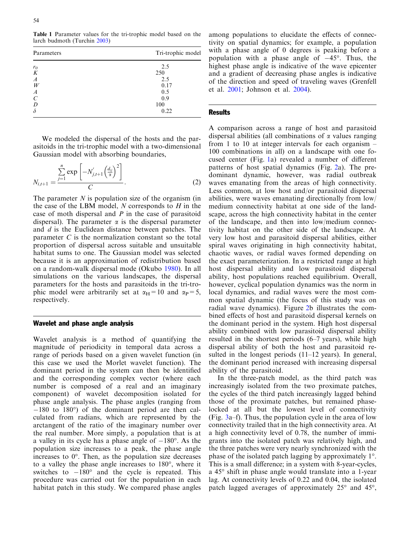<span id="page-3-0"></span>

| Tri-trophic model |
|-------------------|
| 2.5               |
| 250               |
| 2.5               |
| 0.17              |
| 0.5               |
| 0.9               |
| 100               |
| 0.22              |
|                   |

We modeled the dispersal of the hosts and the parasitoids in the tri-trophic model with a two-dimensional Gaussian model with absorbing boundaries,

$$
N_{i,t+1} = \frac{\sum_{j=1}^{n} \exp\left[-N'_{j,t+1}\left(\frac{d_{ij}}{\alpha}\right)^{2}\right]}{C}.
$$
 (2)

The parameter  $N$  is population size of the organism (in the case of the LBM model,  $N$  corresponds to  $H$  in the case of moth dispersal and P in the case of parasitoid dispersal). The parameter  $\alpha$  is the dispersal parameter and  $d$  is the Euclidean distance between patches. The parameter C is the normalization constant so the total proportion of dispersal across suitable and unsuitable habitat sums to one. The Gaussian model was selected because it is an approximation of redistribution based on a random-walk dispersal mode (Okubo [1980\)](#page-8-0). In all simulations on the various landscapes, the dispersal parameters for the hosts and parasitoids in the tri-trophic model were arbitrarily set at  $\alpha_H=10$  and  $\alpha_P=5$ , respectively.

#### Wavelet and phase angle analysis

Wavelet analysis is a method of quantifying the magnitude of periodicity in temporal data across a range of periods based on a given wavelet function (in this case we used the Morlet wavelet function). The dominant period in the system can then be identified and the corresponding complex vector (where each number is composed of a real and an imaginary component) of wavelet decomposition isolated for phase angle analysis. The phase angles (ranging from  $-180$  to  $180^{\circ}$ ) of the dominant period are then calculated from radians, which are represented by the arctangent of the ratio of the imaginary number over the real number. More simply, a population that is at a valley in its cycle has a phase angle of  $-180^\circ$ . As the population size increases to a peak, the phase angle increases to  $0^\circ$ . Then, as the population size decreases to a valley the phase angle increases to 180°, where it switches to  $-180^\circ$  and the cycle is repeated. This procedure was carried out for the population in each habitat patch in this study. We compared phase angles among populations to elucidate the effects of connectivity on spatial dynamics; for example, a population with a phase angle of 0 degrees is peaking before a population with a phase angle of  $-45^{\circ}$ . Thus, the highest phase angle is indicative of the wave epicenter and a gradient of decreasing phase angles is indicative of the direction and speed of traveling waves (Grenfell et al. [2001;](#page-8-0) Johnson et al. [2004\)](#page-8-0).

#### **Results**

A comparison across a range of host and parasitoid dispersal abilities (all combinations of  $\alpha$  values ranging from 1 to 10 at integer intervals for each organism – 100 combinations in all) on a landscape with one focused center (Fig. [1](#page-4-0)a) revealed a number of different patterns of host spatial dynamics (Fig. [2](#page-5-0)a). The predominant dynamic, however, was radial outbreak waves emanating from the areas of high connectivity. Less common, at low host and/or parasitoid dispersal abilities, were waves emanating directionally from low/ medium connectivity habitat at one side of the landscape, across the high connectivity habitat in the center of the landscape, and then into low/medium connectivity habitat on the other side of the landscape. At very low host and parasitoid dispersal abilities, either spiral waves originating in high connectivity habitat, chaotic waves, or radial waves formed depending on the exact parameterization. In a restricted range at high host dispersal ability and low parasitoid dispersal ability, host populations reached equilibrium. Overall, however, cyclical population dynamics was the norm in local dynamics, and radial waves were the most common spatial dynamic (the focus of this study was on radial wave dynamics). Figure [2](#page-5-0)b illustrates the combined effects of host and parasitoid dispersal kernels on the dominant period in the system. High host dispersal ability combined with low parasitoid dispersal ability resulted in the shortest periods (6–7 years), while high dispersal ability of both the host and parasitoid resulted in the longest periods (11–12 years). In general, the dominant period increased with increasing dispersal ability of the parasitoid.

In the three-patch model, as the third patch was increasingly isolated from the two proximate patches, the cycles of the third patch increasingly lagged behind those of the proximate patches, but remained phaselocked at all but the lowest level of connectivity (Fig. [3a](#page-6-0)–f). Thus, the population cycle in the area of low connectivity trailed that in the high connectivity area. At a high connectivity level of 0.78, the number of immigrants into the isolated patch was relatively high, and the three patches were very nearly synchronized with the phase of the isolated patch lagging by approximately  $1^\circ$ . This is a small difference; in a system with 8-year-cycles, a 45° shift in phase angle would translate into a 1-year lag. At connectivity levels of 0.22 and 0.04, the isolated patch lagged averages of approximately  $25^{\circ}$  and  $45^{\circ}$ ,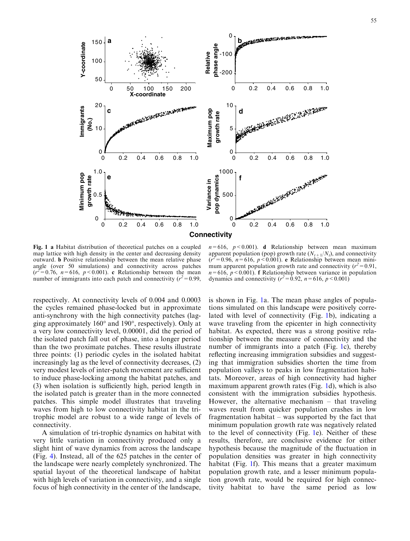<span id="page-4-0"></span>

Fig. 1 a Habitat distribution of theoretical patches on a coupled map lattice with high density in the center and decreasing density outward. b Positive relationship between the mean relative phase angle (over 50 simulations) and connectivity across patches  $(r^2=0.76, n=616, p<0.001)$ . c Relationship between the mean number of immigrants into each patch and connectivity  $(r^2 = 0.99)$ ,

 $n=616$ ,  $p<0.001$ ). d Relationship between mean maximum apparent population (pop) growth rate  $(N_{t+1}/N_t)$ , and connectivity  $(r^2 = 0.96, n = 616, p < 0.001)$ . e Relationship between mean minimum apparent population growth rate and connectivity  $(r^2 = 0.91)$ ,  $n=616$ ,  $p<0.001$ ). f Relationship between variance in population dynamics and connectivity ( $r^2 = 0.92$ ,  $n = 616$ ,  $p < 0.001$ )

respectively. At connectivity levels of 0.004 and 0.0003 the cycles remained phase-locked but in approximate anti-synchrony with the high connectivity patches (lagging approximately 160° and 190°, respectively). Only at a very low connectivity level, 0.00001, did the period of the isolated patch fall out of phase, into a longer period than the two proximate patches. These results illustrate three points: (1) periodic cycles in the isolated habitat increasingly lag as the level of connectivity decreases, (2) very modest levels of inter-patch movement are sufficient to induce phase-locking among the habitat patches, and (3) when isolation is sufficiently high, period length in the isolated patch is greater than in the more connected patches. This simple model illustrates that traveling waves from high to low connectivity habitat in the tritrophic model are robust to a wide range of levels of connectivity.

A simulation of tri-trophic dynamics on habitat with very little variation in connectivity produced only a slight hint of wave dynamics from across the landscape (Fig. [4](#page-6-0)). Instead, all of the 625 patches in the center of the landscape were nearly completely synchronized. The spatial layout of the theoretical landscape of habitat with high levels of variation in connectivity, and a single focus of high connectivity in the center of the landscape,

is shown in Fig. 1a. The mean phase angles of populations simulated on this landscape were positively correlated with level of connectivity (Fig. 1b), indicating a wave traveling from the epicenter in high connectivity habitat. As expected, there was a strong positive relationship between the measure of connectivity and the number of immigrants into a patch (Fig. 1c), thereby reflecting increasing immigration subsidies and suggesting that immigration subsidies shorten the time from population valleys to peaks in low fragmentation habitats. Moreover, areas of high connectivity had higher maximum apparent growth rates (Fig. 1d), which is also consistent with the immigration subsidies hypothesis. However, the alternative mechanism  $-$  that traveling waves result from quicker population crashes in low fragmentation habitat – was supported by the fact that minimum population growth rate was negatively related to the level of connectivity (Fig. 1e). Neither of these results, therefore, are conclusive evidence for either hypothesis because the magnitude of the fluctuation in population densities was greater in high connectivity habitat (Fig. 1f). This means that a greater maximum population growth rate, and a lesser minimum population growth rate, would be required for high connectivity habitat to have the same period as low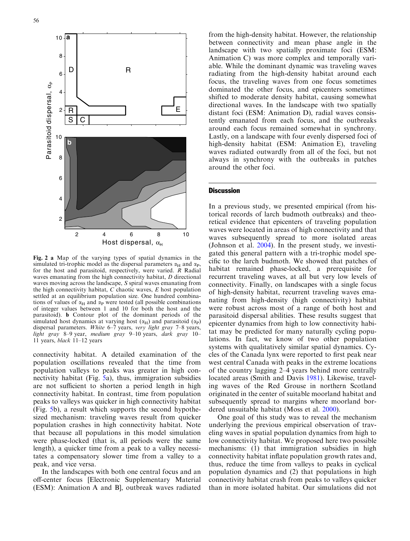<span id="page-5-0"></span>

Fig. 2 a Map of the varying types of spatial dynamics in the simulated tri-trophic model as the dispersal parameters  $\alpha_H$  and  $\alpha_P$ , for the host and parasitoid, respectively, were varied. R Radial waves emanating from the high connectivity habitat, D directional waves moving across the landscape, S spiral waves emanating from the high connectivity habitat,  $C$  chaotic waves,  $E$  host population settled at an equilibrium population size. One hundred combinations of values of  $\alpha_H$  and  $\alpha_P$  were tested (all possible combinations of integer values between 1 and 10 for both the host and the parasitoid). b Contour plot of the dominant periods of the simulated host dynamics at varying host ( $\alpha_H$ ) and parasitoid ( $\alpha_P$ ) dispersal parameters. White 6–7 years, very light gray 7–8 years, light gray 8–9 year, medium gray 9–10 years, dark gray 10– 11 years, black 11–12 years

connectivity habitat. A detailed examination of the population oscillations revealed that the time from population valleys to peaks was greater in high connectivity habitat (Fig. [5](#page-7-0)a), thus, immigration subsidies are not sufficient to shorten a period length in high connectivity habitat. In contrast, time from population peaks to valleys was quicker in high connectivity habitat (Fig. [5](#page-7-0)b), a result which supports the second hypothesized mechanism: traveling waves result from quicker population crashes in high connectivity habitat. Note that because all populations in this model simulation were phase-locked (that is, all periods were the same length), a quicker time from a peak to a valley necessitates a compensatory slower time from a valley to a peak, and vice versa.

In the landscapes with both one central focus and an off-center focus [Electronic Supplementary Material (ESM): Animation A and B], outbreak waves radiated

from the high-density habitat. However, the relationship between connectivity and mean phase angle in the landscape with two spatially proximate foci (ESM: Animation C) was more complex and temporally variable. While the dominant dynamic was traveling waves radiating from the high-density habitat around each focus, the traveling waves from one focus sometimes dominated the other focus, and epicenters sometimes shifted to moderate density habitat, causing somewhat directional waves. In the landscape with two spatially distant foci (ESM: Animation D), radial waves consistently emanated from each focus, and the outbreaks around each focus remained somewhat in synchrony. Lastly, on a landscape with four evenly dispersed foci of high-density habitat (ESM: Animation E), traveling waves radiated outwardly from all of the foci, but not always in synchrony with the outbreaks in patches around the other foci.

# **Discussion**

In a previous study, we presented empirical (from historical records of larch budmoth outbreaks) and theoretical evidence that epicenters of traveling population waves were located in areas of high connectivity and that waves subsequently spread to more isolated areas (Johnson et al. [2004\)](#page-8-0). In the present study, we investigated this general pattern with a tri-trophic model specific to the larch budmoth. We showed that patches of habitat remained phase-locked, a prerequisite for recurrent traveling waves, at all but very low levels of connectivity. Finally, on landscapes with a single focus of high-density habitat, recurrent traveling waves emanating from high-density (high connectivity) habitat were robust across most of a range of both host and parasitoid dispersal abilities. These results suggest that epicenter dynamics from high to low connectivity habitat may be predicted for many naturally cycling populations. In fact, we know of two other population systems with qualitatively similar spatial dynamics. Cycles of the Canada lynx were reported to first peak near west central Canada with peaks in the extreme locations of the country lagging 2–4 years behind more centrally located areas (Smith and Davis [1981](#page-9-0)). Likewise, traveling waves of the Red Grouse in northern Scotland originated in the center of suitable moorland habitat and subsequently spread to margins where moorland bordered unsuitable habitat (Moss et al. [2000\)](#page-8-0).

One goal of this study was to reveal the mechanism underlying the previous empirical observation of traveling waves in spatial population dynamics from high to low connectivity habitat. We proposed here two possible mechanisms: (1) that immigration subsidies in high connectivity habitat inflate population growth rates and, thus, reduce the time from valleys to peaks in cyclical population dynamics and (2) that populations in high connectivity habitat crash from peaks to valleys quicker than in more isolated habitat. Our simulations did not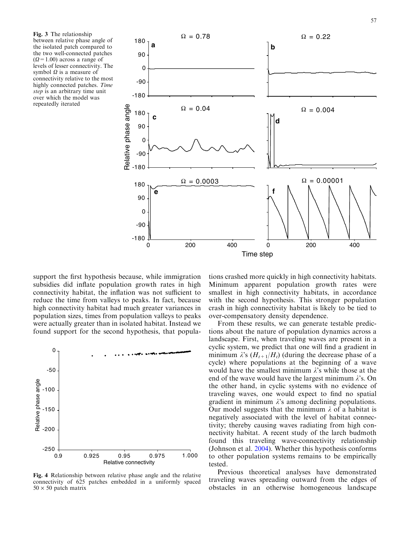<span id="page-6-0"></span>Fig. 3 The relationship between relative phase angle of the isolated patch compared to the two well-connected patches  $(Q=1.00)$  across a range of levels of lesser connectivity. The symbol  $\Omega$  is a measure of connectivity relative to the most highly connected patches. Time step is an arbitrary time unit over which the model was repeatedly iterated



support the first hypothesis because, while immigration subsidies did inflate population growth rates in high connectivity habitat, the inflation was not sufficient to reduce the time from valleys to peaks. In fact, because high connectivity habitat had much greater variances in population sizes, times from population valleys to peaks were actually greater than in isolated habitat. Instead we found support for the second hypothesis, that popula-



Fig. 4 Relationship between relative phase angle and the relative connectivity of 625 patches embedded in a uniformly spaced  $50 \times 50$  patch matrix

tions crashed more quickly in high connectivity habitats. Minimum apparent population growth rates were smallest in high connectivity habitats, in accordance with the second hypothesis. This stronger population crash in high connectivity habitat is likely to be tied to over-compensatory density dependence.

From these results, we can generate testable predictions about the nature of population dynamics across a landscape. First, when traveling waves are present in a cyclic system, we predict that one will find a gradient in minimum  $\lambda$ 's  $(H_{t+1}/H_t)$  (during the decrease phase of a cycle) where populations at the beginning of a wave would have the smallest minimum  $\lambda$ 's while those at the end of the wave would have the largest minimum  $\lambda$ 's. On the other hand, in cyclic systems with no evidence of traveling waves, one would expect to find no spatial gradient in minimum  $\lambda$ 's among declining populations. Our model suggests that the minimum  $\lambda$  of a habitat is negatively associated with the level of habitat connectivity; thereby causing waves radiating from high connectivity habitat. A recent study of the larch budmoth found this traveling wave-connectivity relationship (Johnson et al. [2004](#page-8-0)). Whether this hypothesis conforms to other population systems remains to be empirically tested.

Previous theoretical analyses have demonstrated traveling waves spreading outward from the edges of obstacles in an otherwise homogeneous landscape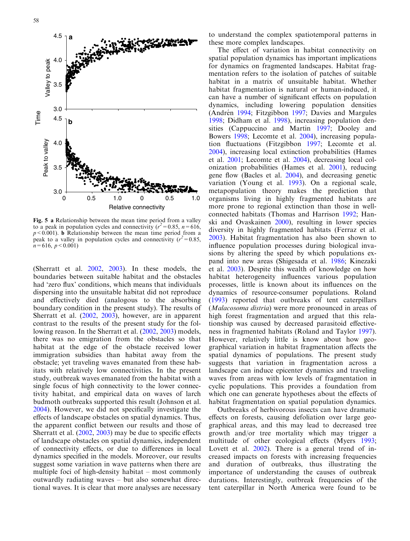<span id="page-7-0"></span>

Fig. 5 a Relationship between the mean time period from a valley to a peak in population cycles and connectivity  $(r^2 = 0.85, n = 616)$ ,  $p < 0.001$ ). **b** Relationship between the mean time period from a peak to a valley in population cycles and connectivity  $(r^2 = 0.85)$ ,  $n=616, p<0.001$ 

(Sherratt et al. [2002,](#page-9-0) [2003](#page-8-0)). In these models, the boundaries between suitable habitat and the obstacles had 'zero flux' conditions, which means that individuals dispersing into the unsuitable habitat did not reproduce and effectively died (analogous to the absorbing boundary condition in the present study). The results of Sherratt et al. [\(2002,](#page-9-0) [2003](#page-8-0)), however, are in apparent contrast to the results of the present study for the following reason. In the Sherratt et al. ([2002,](#page-9-0) [2003\)](#page-8-0) models, there was no emigration from the obstacles so that habitat at the edge of the obstacle received lower immigration subsidies than habitat away from the obstacle; yet traveling waves emanated from these habitats with relatively low connectivities. In the present study, outbreak waves emanated from the habitat with a single focus of high connectivity to the lower connectivity habitat, and empirical data on waves of larch budmoth outbreaks supported this result (Johnson et al. [2004](#page-8-0)). However, we did not specifically investigate the effects of landscape obstacles on spatial dynamics. Thus, the apparent conflict between our results and those of Sherratt et al. ([2002](#page-9-0), [2003](#page-8-0)) may be due to specific effects of landscape obstacles on spatial dynamics, independent of connectivity effects, or due to differences in local dynamics specified in the models. Moreover, our results suggest some variation in wave patterns when there are multiple foci of high-density habitat – most commonly outwardly radiating waves – but also somewhat directional waves. It is clear that more analyses are necessary

to understand the complex spatiotemporal patterns in these more complex landscapes.

The effect of variation in habitat connectivity on spatial population dynamics has important implications for dynamics on fragmented landscapes. Habitat fragmentation refers to the isolation of patches of suitable habitat in a matrix of unsuitable habitat. Whether habitat fragmentation is natural or human-induced, it can have a number of significant effects on population dynamics, including lowering population densities (Andrén [1994](#page-8-0); Fitzgibbon [1997](#page-8-0); Davies and Margules [1998;](#page-8-0) Didham et al. [1998\)](#page-8-0), increasing population densities (Cappuccino and Martin [1997;](#page-8-0) Dooley and Bowers [1998;](#page-8-0) Lecomte et al. [2004](#page-8-0)), increasing population fluctuations (Fitzgibbon [1997;](#page-8-0) Lecomte et al. [2004\)](#page-8-0), increasing local extinction probabilities (Hames et al. [2001](#page-8-0); Lecomte et al. [2004](#page-8-0)), decreasing local colonization probabilities (Hames et al. [2001\)](#page-8-0), reducing gene flow (Bacles et al. [2004\)](#page-8-0), and decreasing genetic variation (Young et al. [1993](#page-9-0)). On a regional scale, metapopulation theory makes the prediction that organisms living in highly fragmented habitats are more prone to regional extinction than those in wellconnected habitats (Thomas and Harrison [1992;](#page-9-0) Hanski and Ovaskainen [2000\)](#page-8-0), resulting in lower species diversity in highly fragmented habitats (Ferraz et al. [2003\)](#page-8-0). Habitat fragmentation has also been shown to influence population processes during biological invasions by altering the speed by which populations expand into new areas (Shigesada et al. [1986;](#page-9-0) Kinezaki et al. [2003](#page-8-0)). Despite this wealth of knowledge on how habitat heterogeneity influences various population processes, little is known about its influences on the dynamics of resource-consumer populations. Roland ([1993](#page-8-0)) reported that outbreaks of tent caterpillars (Malacosoma distria) were more pronounced in areas of high forest fragmentation and argued that this relationship was caused by decreased parasitoid effectiveness in fragmented habitats (Roland and Taylor [1997\)](#page-8-0). However, relatively little is know about how geographical variation in habitat fragmentation affects the spatial dynamics of populations. The present study suggests that variation in fragmentation across a landscape can induce epicenter dynamics and traveling waves from areas with low levels of fragmentation in cyclic populations. This provides a foundation from which one can generate hypotheses about the effects of habitat fragmentation on spatial population dynamics.

Outbreaks of herbivorous insects can have dramatic effects on forests, causing defoliation over large geographical areas, and this may lead to decreased tree growth and/or tree mortality which may trigger a multitude of other ecological effects (Myers [1993](#page-8-0); Lovett et al. [2002](#page-8-0)). There is a general trend of increased impacts on forests with increasing frequencies and duration of outbreaks, thus illustrating the importance of understanding the causes of outbreak durations. Interestingly, outbreak frequencies of the tent caterpillar in North America were found to be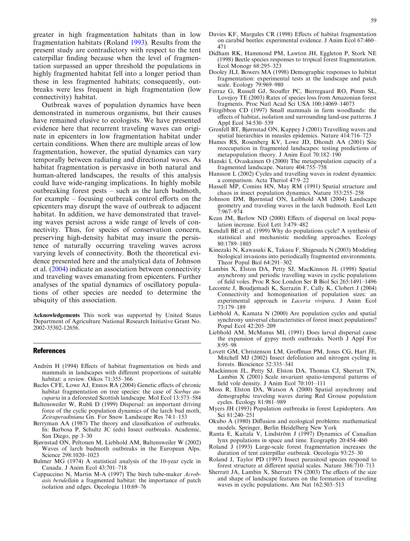<span id="page-8-0"></span>greater in high fragmentation habitats than in low fragmentation habitats (Roland 1993). Results from the present study are contradictory with respect to the tent caterpillar finding because when the level of fragmentation surpassed an upper threshold the populations in highly fragmented habitat fell into a longer period than those in less fragmented habitats; consequently, outbreaks were less frequent in high fragmentation (low connectivity) habitat.

Outbreak waves of population dynamics have been demonstrated in numerous organisms, but their causes have remained elusive to ecologists. We have presented evidence here that recurrent traveling waves can originate in epicenters in low fragmentation habitat under certain conditions. When there are multiple areas of low fragmentation, however, the spatial dynamics can vary temporally between radiating and directional waves. As habitat fragmentation is pervasive in both natural and human-altered landscapes, the results of this analysis could have wide-ranging implications. In highly mobile outbreaking forest pests – such as the larch budmoth, for example – focusing outbreak control efforts on the epicenters may disrupt the wave of outbreak to adjacent habitat. In addition, we have demonstrated that traveling waves persist across a wide range of levels of connectivity. Thus, for species of conservation concern, preserving high-density habitat may insure the persistence of naturally occurring traveling waves across varying levels of connectivity. Both the theoretical evidence presented here and the analytical data of Johnson et al. (2004) indicate an association between connectivity and traveling waves emanating from epicenters. Further analyses of the spatial dynamics of oscillatory populations of other species are needed to determine the ubiquity of this association.

Acknowledgements This work was supported by United States Department of Agriculture National Research Initiative Grant No. 2002-35302-12656.

#### References

- Andrén H (1994) Effects of habitat fragmentation on birds and mammals in landscapes with different proportions of suitable habitat: a review. Oikos 71:355-366
- Bacles CFE, Lowe AJ, Ennos RA (2004) Genetic effects of chronic habitat fragmentation on tree species: the case of Sorbus aucuparia in a deforested Scottish landscape. Mol Ecol 13:573–584
- Baltensweiler W, Rubli D (1999) Dispersal: an important driving force of the cyclic population dynamics of the larch bud moth, Zeiraperadiniana Gn. For Snow Landscape Res 74:1–153
- Berryman AA (1987) The theory and classification of outbreaks. In: Barbosa P, Schultz JC (eds) Insect outbreaks. Academic, San Diego, pp 3–30
- Bjørnstad ON, Peltonen M, Liebhold AM, Baltensweiler W (2002) Waves of larch budmoth outbreaks in the European Alps. Science 298:1020–1023
- Bulmer MG (1974) A statistical analysis of the 10-year cycle in Canada. J Anim Ecol 43:701–718
- Cappuccino N, Martin M-A (1997) The birch tube-maker Acrobasis betulellain a fragmented habitat: the importance of patch isolation and edges. Oecologia 110:69–76
- Davies KF, Margules CR (1998) Effects of habitat fragmentation on carabid beetles: experimental evidence. J Anim Ecol 67:460– 471
- Didham RK, Hammond PM, Lawton JH, Eggleton P, Stork NE (1998) Beetle species responses to tropical forest fragmentation. Ecol Monogr 68:295–323
- Dooley JLJ, Bowers MA (1998) Demographic responses to habitat fragmentation: experimental tests at the landscape and patch scale. Ecology 79:969–980
- Ferraz G, Russell GJ, Stouffer PC, Bierregaard RO, Pimm SL, Lovejoy TE (2003) Rates of species loss from Amazonian forest fragments. Proc Natl Acad Sci USA 100:14069–14073
- Fitzgibbon CD (1997) Small mammals in farm woodlands: the effects of habitat, isolation and surrounding land-use patterns. J Appl Ecol 34:530–539
- Grenfell BT, Bjørnstad ON, Kappey J (2001) Travelling waves and spatial hierarchies in measles epidemics. Nature 414:716–723
- Hames RS, Rosenberg KV, Lowe JD, Dhondt AA (2001) Site reoccupation in fragmented landscapes: testing predictions of metapopulation theory. J Anim Ecol 70:182–190
- Hanski I, Ovaskainen O (2000) The metapopulation capacity of a fragmented landscape. Nature 404:755–758
- Hansson L (2002) Cycles and travelling waves in rodent dynamics: a comparison. Acta Theriol 47:9–22
- Hassell MP, Comins HN, May RM (1991) Spatial structure and chaos in insect population dynamics. Nature 353:255–258
- Johnson DM, Bjørnstad ON, Leibhold AM (2004) Landscape geometry and traveling waves in the larch budmoth. Ecol Lett 7:967–974
- Kean JM, Barlow ND (2000) Effects of dispersal on local population increase. Ecol Lett 3:479–482
- Kendall BE et al. (1999) Why do populations cycle? A synthesis of statistical and mechanistic modeling approaches. Ecology 80:1789–1805
- Kinezaki N, Kawasaki K, Takasu F, Shigesada N (2003) Modeling biological invasions into periodically fragmented environments. Theor Popul Biol 64:291–302
- Lambin X, Elston DA, Petty SJ, MacKinnon JL (1998) Spatial asynchrony and periodic travelling waves in cyclic populations of field voles. Proc R Soc London Ser B Biol Sci 265:1491–1496
- Lecomte J, Boudjemadi K, Sarrazin F, Cally K, Clobert J (2004) Connectivity and homogenisation of population sizes: an experimental approach in Lacerta vivipara. J Anim Ecol 73:179–189
- Liebhold A, Kamata N (2000) Are population cycles and spatial synchrony universal characteristics of forest insect populations? Popul Ecol 42:205–209
- Liebhold AM, McManus ML (1991) Does larval dispersal cause the expansion of gypsy moth outbreaks. North J Appl For 8:95–98
- Lovett GM, Christenson LM, Groffman PM, Jones CG, Hart JE, Mitchell MJ (2002) Insect defoliation and nitrogen cycling in forests. Bioscience 52:335–341
- Mackinnon JL, Petty SJ, Elston DA, Thomas CJ, Sherratt TN, Lambin X (2001) Scale invariant spatio-temporal patterns of field vole density. J Anim Ecol 70:101–111
- Moss R, Elston DA, Watson A (2000) Spatial asynchrony and demographic traveling waves during Red Grouse population cycles. Ecology 81:981–989
- Myers JH (1993) Population outbreaks in forest Lepidoptera. Am Sci 81:240–251
- Okubo A (1980) Diffusion and ecological problems: mathematical models. Springer, Berlin Heidelberg New York
- Ranta E, Kaitala V, Lindström J (1997) Dynamics of Canadian lynx populations in space and time. Ecography 20:454–460
- Roland J (1993) Large-scale forest fragmentation increases the duration of tent caterpillar outbreak. Oecologia 93:25–30
- Roland J, Taylor PD (1997) Insect parasitoid species respond to forest structure at different spatial scales. Nature 386:710–713
- Sherratt JA, Lambin X, Sherratt TN (2003) The effects of the size and shape of landscape features on the formation of traveling waves in cyclic populations. Am Nat 162:503–513